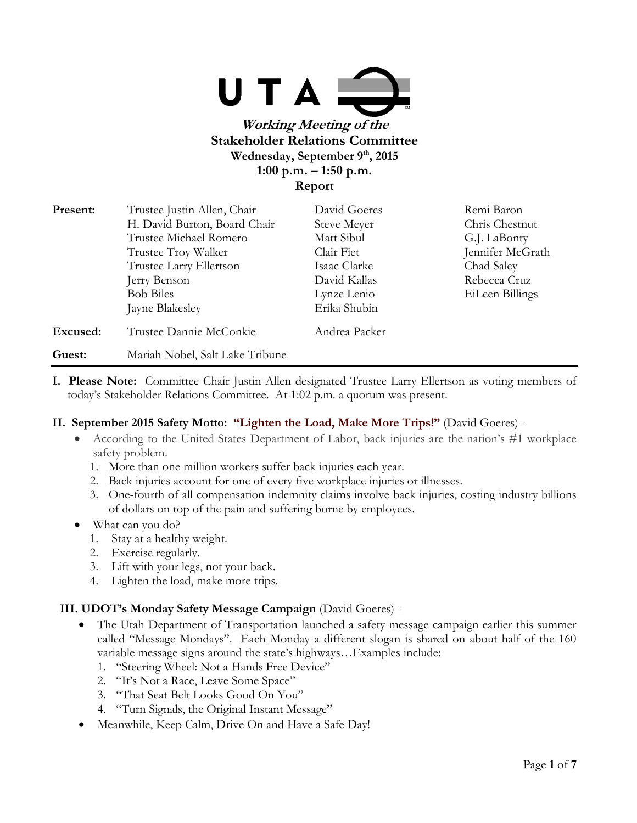

# **Working Meeting of the Stakeholder Relations Committee Wednesday, September 9th, 2015 1:00 p.m. – 1:50 p.m. Report**

| Present: | Trustee Justin Allen, Chair     | David Goeres  | Remi Baron       |
|----------|---------------------------------|---------------|------------------|
|          | H. David Burton, Board Chair    | Steve Meyer   | Chris Chestnut   |
|          | Trustee Michael Romero          | Matt Sibul    | G.J. LaBonty     |
|          | Trustee Troy Walker             | Clair Fiet    | Jennifer McGrath |
|          | Trustee Larry Ellertson         | Isaac Clarke  | Chad Saley       |
|          | Jerry Benson                    | David Kallas  | Rebecca Cruz     |
|          | <b>Bob Biles</b>                | Lynze Lenio   | EiLeen Billings  |
|          | Jayne Blakesley                 | Erika Shubin  |                  |
| Excused: | Trustee Dannie McConkie         | Andrea Packer |                  |
| Guest:   | Mariah Nobel, Salt Lake Tribune |               |                  |

**I. Please Note:** Committee Chair Justin Allen designated Trustee Larry Ellertson as voting members of today's Stakeholder Relations Committee. At 1:02 p.m. a quorum was present.

## **II. September 2015 Safety Motto: "Lighten the Load, Make More Trips!"** (David Goeres) -

- According to the United States Department of Labor, back injuries are the nation's #1 workplace safety problem.
	- 1. More than one million workers suffer back injuries each year.
	- 2. Back injuries account for one of every five workplace injuries or illnesses.
	- 3. One-fourth of all compensation indemnity claims involve back injuries, costing industry billions of dollars on top of the pain and suffering borne by employees.
- What can you do?
	- 1. Stay at a healthy weight.
	- 2. Exercise regularly.
	- 3. Lift with your legs, not your back.
	- 4. Lighten the load, make more trips.

## **III. UDOT's Monday Safety Message Campaign** (David Goeres) -

- The Utah Department of Transportation launched a safety message campaign earlier this summer called "Message Mondays". Each Monday a different slogan is shared on about half of the 160 variable message signs around the state's highways…Examples include:
	- 1. "Steering Wheel: Not a Hands Free Device"
	- 2. "It's Not a Race, Leave Some Space"
	- 3. "That Seat Belt Looks Good On You"
	- 4. "Turn Signals, the Original Instant Message"
- Meanwhile, Keep Calm, Drive On and Have a Safe Day!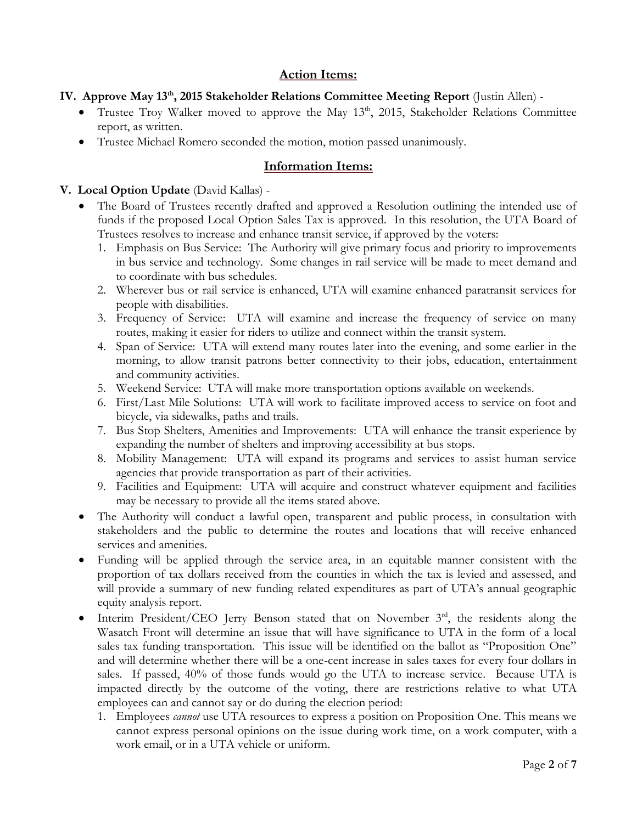## **Action Items:**

## **IV. Approve May 13th, 2015 Stakeholder Relations Committee Meeting Report** (Justin Allen) -

- Trustee Troy Walker moved to approve the May  $13<sup>th</sup>$ , 2015, Stakeholder Relations Committee report, as written.
- Trustee Michael Romero seconded the motion, motion passed unanimously.

# **Information Items:**

## **V. Local Option Update** (David Kallas) -

- The Board of Trustees recently drafted and approved a Resolution outlining the intended use of funds if the proposed Local Option Sales Tax is approved. In this resolution, the UTA Board of Trustees resolves to increase and enhance transit service, if approved by the voters:
	- 1. Emphasis on Bus Service: The Authority will give primary focus and priority to improvements in bus service and technology. Some changes in rail service will be made to meet demand and to coordinate with bus schedules.
	- 2. Wherever bus or rail service is enhanced, UTA will examine enhanced paratransit services for people with disabilities.
	- 3. Frequency of Service: UTA will examine and increase the frequency of service on many routes, making it easier for riders to utilize and connect within the transit system.
	- 4. Span of Service: UTA will extend many routes later into the evening, and some earlier in the morning, to allow transit patrons better connectivity to their jobs, education, entertainment and community activities.
	- 5. Weekend Service: UTA will make more transportation options available on weekends.
	- 6. First/Last Mile Solutions: UTA will work to facilitate improved access to service on foot and bicycle, via sidewalks, paths and trails.
	- 7. Bus Stop Shelters, Amenities and Improvements: UTA will enhance the transit experience by expanding the number of shelters and improving accessibility at bus stops.
	- 8. Mobility Management: UTA will expand its programs and services to assist human service agencies that provide transportation as part of their activities.
	- 9. Facilities and Equipment: UTA will acquire and construct whatever equipment and facilities may be necessary to provide all the items stated above.
- The Authority will conduct a lawful open, transparent and public process, in consultation with stakeholders and the public to determine the routes and locations that will receive enhanced services and amenities.
- Funding will be applied through the service area, in an equitable manner consistent with the proportion of tax dollars received from the counties in which the tax is levied and assessed, and will provide a summary of new funding related expenditures as part of UTA's annual geographic equity analysis report.
- $\bullet$  Interim President/CEO Jerry Benson stated that on November  $3<sup>rd</sup>$ , the residents along the Wasatch Front will determine an issue that will have significance to UTA in the form of a local sales tax funding transportation. This issue will be identified on the ballot as "Proposition One" and will determine whether there will be a one-cent increase in sales taxes for every four dollars in sales. If passed, 40% of those funds would go the UTA to increase service. Because UTA is impacted directly by the outcome of the voting, there are restrictions relative to what UTA employees can and cannot say or do during the election period:
	- 1. Employees *cannot* use UTA resources to express a position on Proposition One. This means we cannot express personal opinions on the issue during work time, on a work computer, with a work email, or in a UTA vehicle or uniform.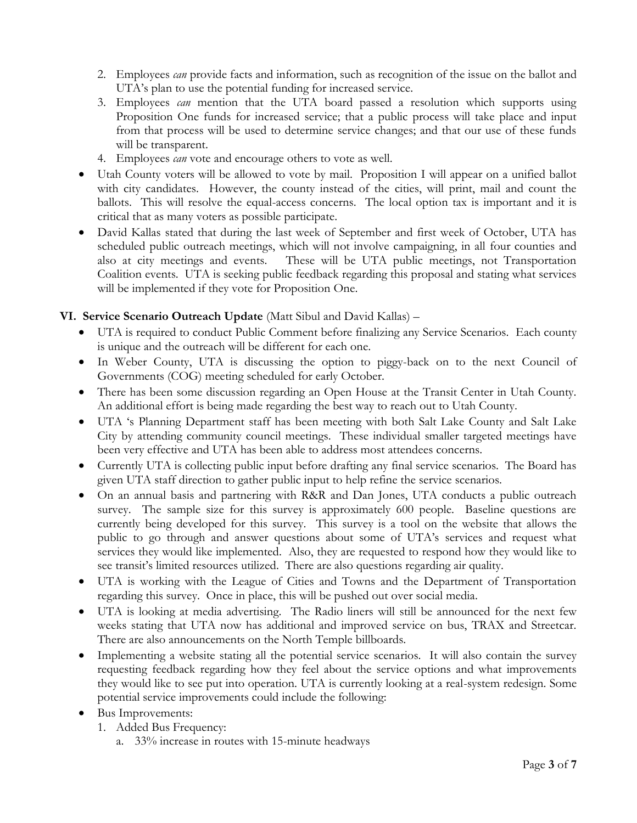- 2. Employees *can* provide facts and information, such as recognition of the issue on the ballot and UTA's plan to use the potential funding for increased service.
- 3. Employees *can* mention that the UTA board passed a resolution which supports using Proposition One funds for increased service; that a public process will take place and input from that process will be used to determine service changes; and that our use of these funds will be transparent.
- 4. Employees *can* vote and encourage others to vote as well.
- Utah County voters will be allowed to vote by mail. Proposition I will appear on a unified ballot with city candidates. However, the county instead of the cities, will print, mail and count the ballots. This will resolve the equal-access concerns. The local option tax is important and it is critical that as many voters as possible participate.
- David Kallas stated that during the last week of September and first week of October, UTA has scheduled public outreach meetings, which will not involve campaigning, in all four counties and also at city meetings and events. These will be UTA public meetings, not Transportation Coalition events. UTA is seeking public feedback regarding this proposal and stating what services will be implemented if they vote for Proposition One.

### **VI. Service Scenario Outreach Update** (Matt Sibul and David Kallas) –

- UTA is required to conduct Public Comment before finalizing any Service Scenarios. Each county is unique and the outreach will be different for each one.
- In Weber County, UTA is discussing the option to piggy-back on to the next Council of Governments (COG) meeting scheduled for early October.
- There has been some discussion regarding an Open House at the Transit Center in Utah County. An additional effort is being made regarding the best way to reach out to Utah County.
- UTA 's Planning Department staff has been meeting with both Salt Lake County and Salt Lake City by attending community council meetings. These individual smaller targeted meetings have been very effective and UTA has been able to address most attendees concerns.
- Currently UTA is collecting public input before drafting any final service scenarios. The Board has given UTA staff direction to gather public input to help refine the service scenarios.
- On an annual basis and partnering with R&R and Dan Jones, UTA conducts a public outreach survey. The sample size for this survey is approximately 600 people. Baseline questions are currently being developed for this survey. This survey is a tool on the website that allows the public to go through and answer questions about some of UTA's services and request what services they would like implemented. Also, they are requested to respond how they would like to see transit's limited resources utilized. There are also questions regarding air quality.
- UTA is working with the League of Cities and Towns and the Department of Transportation regarding this survey. Once in place, this will be pushed out over social media.
- UTA is looking at media advertising. The Radio liners will still be announced for the next few weeks stating that UTA now has additional and improved service on bus, TRAX and Streetcar. There are also announcements on the North Temple billboards.
- Implementing a website stating all the potential service scenarios. It will also contain the survey requesting feedback regarding how they feel about the service options and what improvements they would like to see put into operation. UTA is currently looking at a real-system redesign. Some potential service improvements could include the following:
- Bus Improvements:
	- 1. Added Bus Frequency:
		- a. 33% increase in routes with 15-minute headways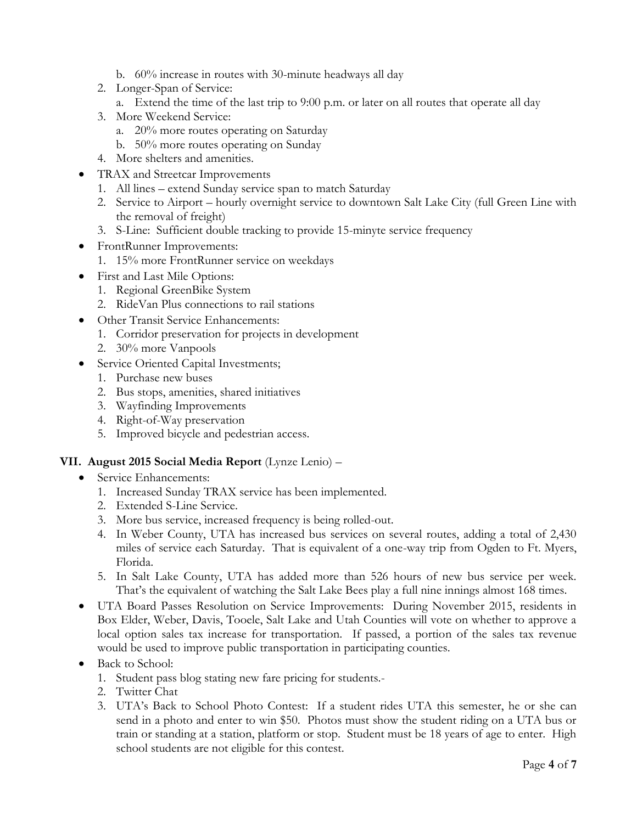- b. 60% increase in routes with 30-minute headways all day
- 2. Longer-Span of Service:
	- a. Extend the time of the last trip to 9:00 p.m. or later on all routes that operate all day
- 3. More Weekend Service:
	- a. 20% more routes operating on Saturday
	- b. 50% more routes operating on Sunday
- 4. More shelters and amenities.
- TRAX and Streetcar Improvements
	- 1. All lines extend Sunday service span to match Saturday
	- 2. Service to Airport hourly overnight service to downtown Salt Lake City (full Green Line with the removal of freight)
	- 3. S-Line: Sufficient double tracking to provide 15-minyte service frequency
- FrontRunner Improvements:
	- 1. 15% more FrontRunner service on weekdays
- First and Last Mile Options:
	- 1. Regional GreenBike System
	- 2. RideVan Plus connections to rail stations
- Other Transit Service Enhancements:
	- 1. Corridor preservation for projects in development
	- 2. 30% more Vanpools
- Service Oriented Capital Investments;
	- 1. Purchase new buses
	- 2. Bus stops, amenities, shared initiatives
	- 3. Wayfinding Improvements
	- 4. Right-of-Way preservation
	- 5. Improved bicycle and pedestrian access.

#### **VII. August 2015 Social Media Report** (Lynze Lenio) –

- Service Enhancements:
	- 1. Increased Sunday TRAX service has been implemented.
	- 2. Extended S-Line Service.
	- 3. More bus service, increased frequency is being rolled-out.
	- 4. In Weber County, UTA has increased bus services on several routes, adding a total of 2,430 miles of service each Saturday. That is equivalent of a one-way trip from Ogden to Ft. Myers, Florida.
	- 5. In Salt Lake County, UTA has added more than 526 hours of new bus service per week. That's the equivalent of watching the Salt Lake Bees play a full nine innings almost 168 times.
- UTA Board Passes Resolution on Service Improvements: During November 2015, residents in Box Elder, Weber, Davis, Tooele, Salt Lake and Utah Counties will vote on whether to approve a local option sales tax increase for transportation. If passed, a portion of the sales tax revenue would be used to improve public transportation in participating counties.
- Back to School:
	- 1. Student pass blog stating new fare pricing for students.-
	- 2. Twitter Chat
	- 3. UTA's Back to School Photo Contest: If a student rides UTA this semester, he or she can send in a photo and enter to win \$50. Photos must show the student riding on a UTA bus or train or standing at a station, platform or stop. Student must be 18 years of age to enter. High school students are not eligible for this contest.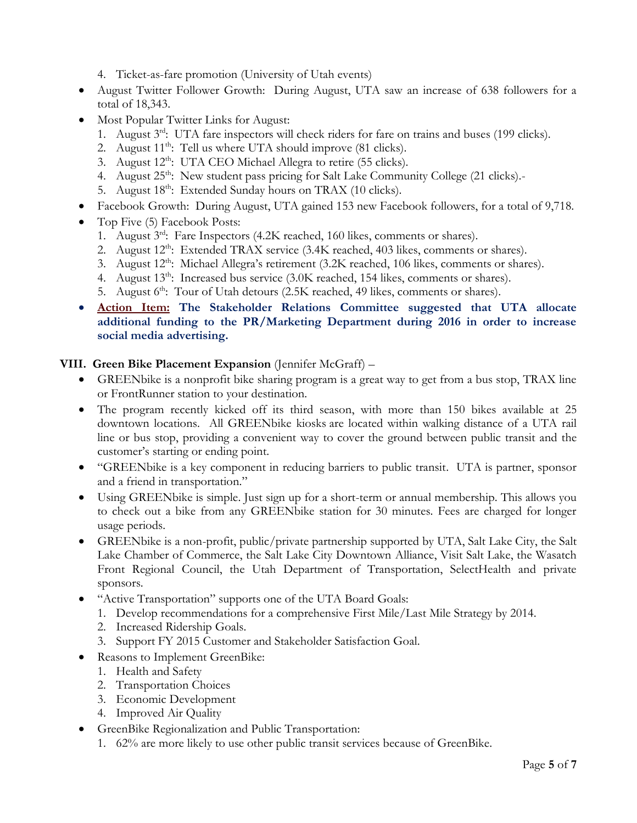- 4. Ticket-as-fare promotion (University of Utah events)
- August Twitter Follower Growth: During August, UTA saw an increase of 638 followers for a total of 18,343.
- Most Popular Twitter Links for August:
	- 1. August 3<sup>rd</sup>: UTA fare inspectors will check riders for fare on trains and buses (199 clicks).
	- 2. August  $11^{th}$ : Tell us where UTA should improve (81 clicks).
	- 3. August  $12^{th}$ : UTA CEO Michael Allegra to retire (55 clicks).
	- 4. August  $25^{th}$ : New student pass pricing for Salt Lake Community College (21 clicks).
	- 5. August  $18^{th}$ : Extended Sunday hours on TRAX (10 clicks).
- Facebook Growth: During August, UTA gained 153 new Facebook followers, for a total of 9,718.
- Top Five (5) Facebook Posts:
	- 1. August 3<sup>rd</sup>: Fare Inspectors (4.2K reached, 160 likes, comments or shares).
	- 2. August 12<sup>th</sup>: Extended TRAX service (3.4K reached, 403 likes, comments or shares).
	- 3. August  $12<sup>th</sup>$ : Michael Allegra's retirement (3.2K reached, 106 likes, comments or shares).
	- 4. August  $13<sup>th</sup>$ : Increased bus service  $(3.0K$  reached,  $154$  likes, comments or shares).
	- 5. August 6<sup>th</sup>: Tour of Utah detours (2.5K reached, 49 likes, comments or shares).
- **Action Item: The Stakeholder Relations Committee suggested that UTA allocate additional funding to the PR/Marketing Department during 2016 in order to increase social media advertising.**

### **VIII. Green Bike Placement Expansion** (Jennifer McGraff) –

- GREENbike is a nonprofit bike sharing program is a great way to get from a bus stop, TRAX line or FrontRunner station to your destination.
- The program recently kicked off its third season, with more than 150 bikes available at 25 downtown locations. All GREENbike kiosks are located within walking distance of a UTA rail line or bus stop, providing a convenient way to cover the ground between public transit and the customer's starting or ending point.
- "GREENbike is a key component in reducing barriers to public transit. UTA is partner, sponsor and a friend in transportation."
- Using GREENbike is simple. Just sign up for a short-term or annual membership. This allows you to check out a bike from any GREENbike station for 30 minutes. Fees are charged for longer usage periods.
- GREENbike is a non-profit, public/private partnership supported by UTA, Salt Lake City, the Salt Lake Chamber of Commerce, the Salt Lake City Downtown Alliance, Visit Salt Lake, the Wasatch Front Regional Council, the Utah Department of Transportation, SelectHealth and private sponsors.
- "Active Transportation" supports one of the UTA Board Goals:
	- 1. Develop recommendations for a comprehensive First Mile/Last Mile Strategy by 2014.
	- 2. Increased Ridership Goals.
	- 3. Support FY 2015 Customer and Stakeholder Satisfaction Goal.
- Reasons to Implement GreenBike:
	- 1. Health and Safety
	- 2. Transportation Choices
	- 3. Economic Development
	- 4. Improved Air Quality
- GreenBike Regionalization and Public Transportation:
	- 1. 62% are more likely to use other public transit services because of GreenBike.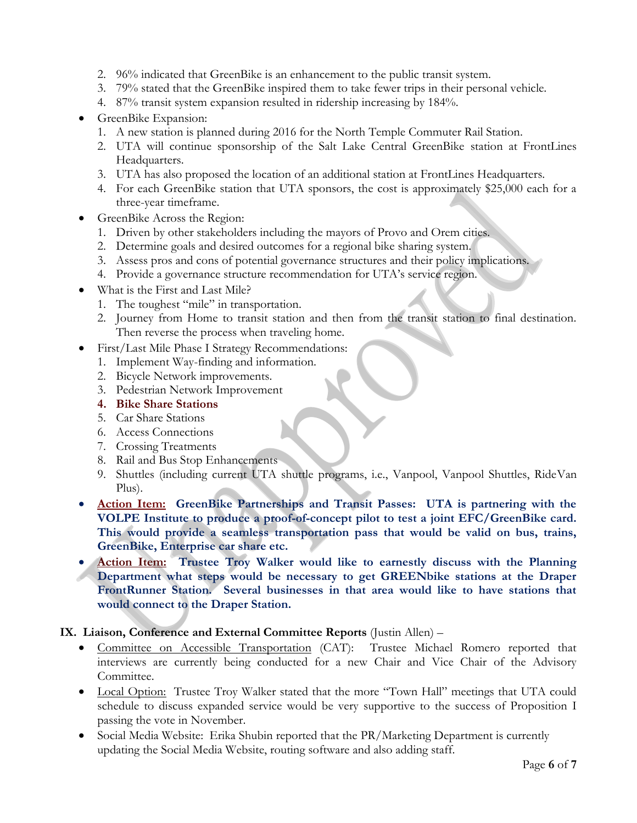- 2. 96% indicated that GreenBike is an enhancement to the public transit system.
- 3. 79% stated that the GreenBike inspired them to take fewer trips in their personal vehicle.
- 4. 87% transit system expansion resulted in ridership increasing by 184%.
- GreenBike Expansion:
	- 1. A new station is planned during 2016 for the North Temple Commuter Rail Station.
	- 2. UTA will continue sponsorship of the Salt Lake Central GreenBike station at FrontLines Headquarters.
	- 3. UTA has also proposed the location of an additional station at FrontLines Headquarters.
	- 4. For each GreenBike station that UTA sponsors, the cost is approximately \$25,000 each for a three-year timeframe.
- GreenBike Across the Region:
	- 1. Driven by other stakeholders including the mayors of Provo and Orem cities.
	- 2. Determine goals and desired outcomes for a regional bike sharing system.
	- 3. Assess pros and cons of potential governance structures and their policy implications.
	- 4. Provide a governance structure recommendation for UTA's service region.
- What is the First and Last Mile?
	- 1. The toughest "mile" in transportation.
	- 2. Journey from Home to transit station and then from the transit station to final destination. Then reverse the process when traveling home.
- First/Last Mile Phase I Strategy Recommendations:
	- 1. Implement Way-finding and information.
	- 2. Bicycle Network improvements.
	- 3. Pedestrian Network Improvement
	- **4. Bike Share Stations**
	- 5. Car Share Stations
	- 6. Access Connections
	- 7. Crossing Treatments
	- 8. Rail and Bus Stop Enhancements
	- 9. Shuttles (including current UTA shuttle programs, i.e., Vanpool, Vanpool Shuttles, RideVan Plus).
- **Action Item: GreenBike Partnerships and Transit Passes: UTA is partnering with the VOLPE Institute to produce a proof-of-concept pilot to test a joint EFC/GreenBike card. This would provide a seamless transportation pass that would be valid on bus, trains, GreenBike, Enterprise car share etc.**
- **Action Item: Trustee Troy Walker would like to earnestly discuss with the Planning Department what steps would be necessary to get GREENbike stations at the Draper FrontRunner Station. Several businesses in that area would like to have stations that would connect to the Draper Station.**

### **IX. Liaison, Conference and External Committee Reports** (Justin Allen) –

- Committee on Accessible Transportation (CAT): Trustee Michael Romero reported that interviews are currently being conducted for a new Chair and Vice Chair of the Advisory Committee.
- Local Option: Trustee Troy Walker stated that the more "Town Hall" meetings that UTA could schedule to discuss expanded service would be very supportive to the success of Proposition I passing the vote in November.
- Social Media Website: Erika Shubin reported that the PR/Marketing Department is currently updating the Social Media Website, routing software and also adding staff.